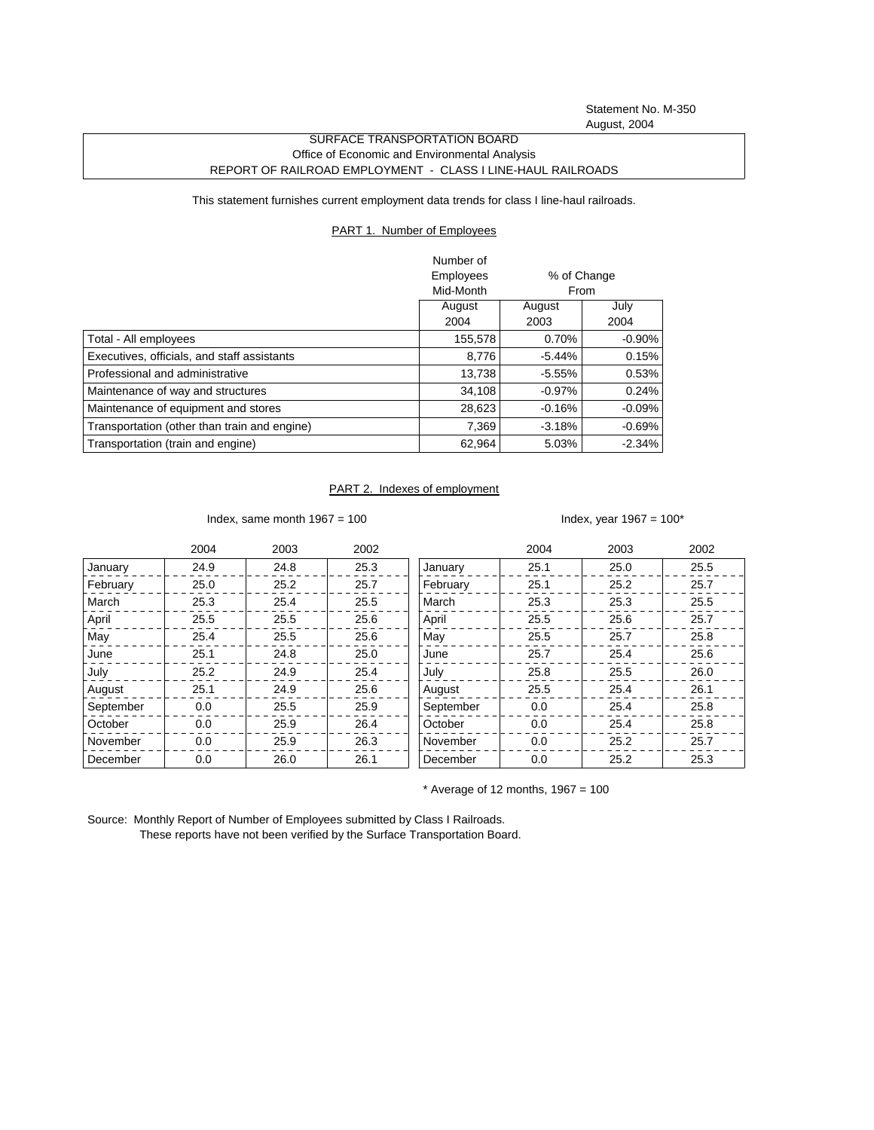Statement No. M-350 August, 2004

## SURFACE TRANSPORTATION BOARD Office of Economic and Environmental Analysis REPORT OF RAILROAD EMPLOYMENT - CLASS I LINE-HAUL RAILROADS

This statement furnishes current employment data trends for class I line-haul railroads.

## PART 1. Number of Employees

|                                              | Number of        |             |           |
|----------------------------------------------|------------------|-------------|-----------|
|                                              | <b>Employees</b> | % of Change |           |
|                                              | Mid-Month        | From        |           |
|                                              | August           | August      | July      |
|                                              | 2004             | 2003        | 2004      |
| Total - All employees                        | 155,578          | 0.70%       | $-0.90\%$ |
| Executives, officials, and staff assistants  | 8.776            | $-5.44%$    | 0.15%     |
| Professional and administrative              | 13.738           | $-5.55%$    | 0.53%     |
| Maintenance of way and structures            | 34,108           | $-0.97%$    | 0.24%     |
| Maintenance of equipment and stores          | 28,623           | $-0.16%$    | $-0.09\%$ |
| Transportation (other than train and engine) | 7,369            | $-3.18%$    | $-0.69%$  |
| Transportation (train and engine)            | 62,964           | 5.03%       | $-2.34%$  |

## PART 2. Indexes of employment

Index, same month  $1967 = 100$  Index, year  $1967 = 100^*$ 

|           | 2004 | 2003 | 2002 |           | 2004 | 2003 | 2002 |
|-----------|------|------|------|-----------|------|------|------|
| January   | 24.9 | 24.8 | 25.3 | January   | 25.1 | 25.0 | 25.5 |
| February  | 25.0 | 25.2 | 25.7 | February  | 25.1 | 25.2 | 25.7 |
| March     | 25.3 | 25.4 | 25.5 | March     | 25.3 | 25.3 | 25.5 |
| April     | 25.5 | 25.5 | 25.6 | April     | 25.5 | 25.6 | 25.7 |
| May       | 25.4 | 25.5 | 25.6 | May       | 25.5 | 25.7 | 25.8 |
| June      | 25.1 | 24.8 | 25.0 | June      | 25.7 | 25.4 | 25.6 |
| July      | 25.2 | 24.9 | 25.4 | July      | 25.8 | 25.5 | 26.0 |
| August    | 25.1 | 24.9 | 25.6 | August    | 25.5 | 25.4 | 26.1 |
| September | 0.0  | 25.5 | 25.9 | September | 0.0  | 25.4 | 25.8 |
| October   | 0.0  | 25.9 | 26.4 | October   | 0.0  | 25.4 | 25.8 |
| November  | 0.0  | 25.9 | 26.3 | November  | 0.0  | 25.2 | 25.7 |
| December  | 0.0  | 26.0 | 26.1 | December  | 0.0  | 25.2 | 25.3 |

 $*$  Average of 12 months, 1967 = 100

Source: Monthly Report of Number of Employees submitted by Class I Railroads. These reports have not been verified by the Surface Transportation Board.